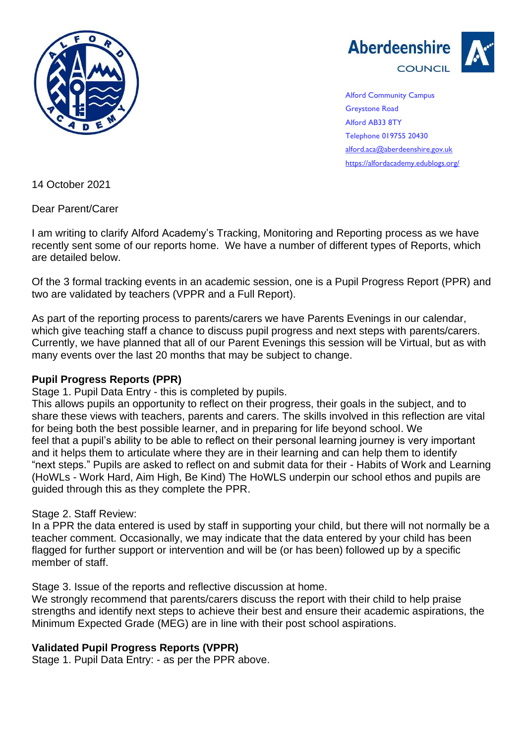



Alford Community Campus Greystone Road Alford AB33 8TY Telephone 019755 20430 [alford.aca@aberdeenshire.gov.uk](mailto:alford.aca@aberdeenshire.gov.uk) <https://alfordacademy.edublogs.org/>

14 October 2021

Dear Parent/Carer

I am writing to clarify Alford Academy's Tracking, Monitoring and Reporting process as we have recently sent some of our reports home. We have a number of different types of Reports, which are detailed below.

Of the 3 formal tracking events in an academic session, one is a Pupil Progress Report (PPR) and two are validated by teachers (VPPR and a Full Report).

As part of the reporting process to parents/carers we have Parents Evenings in our calendar, which give teaching staff a chance to discuss pupil progress and next steps with parents/carers. Currently, we have planned that all of our Parent Evenings this session will be Virtual, but as with many events over the last 20 months that may be subject to change.

# **Pupil Progress Reports (PPR)**

Stage 1. Pupil Data Entry - this is completed by pupils.

This allows pupils an opportunity to reflect on their progress, their goals in the subject, and to share these views with teachers, parents and carers. The skills involved in this reflection are vital for being both the best possible learner, and in preparing for life beyond school. We feel that a pupil's ability to be able to reflect on their personal learning journey is very important and it helps them to articulate where they are in their learning and can help them to identify "next steps." Pupils are asked to reflect on and submit data for their - Habits of Work and Learning (HoWLs - Work Hard, Aim High, Be Kind) The HoWLS underpin our school ethos and pupils are guided through this as they complete the PPR.

# Stage 2. Staff Review:

In a PPR the data entered is used by staff in supporting your child, but there will not normally be a teacher comment. Occasionally, we may indicate that the data entered by your child has been flagged for further support or intervention and will be (or has been) followed up by a specific member of staff.

Stage 3. Issue of the reports and reflective discussion at home.

We strongly recommend that parents/carers discuss the report with their child to help praise strengths and identify next steps to achieve their best and ensure their academic aspirations, the Minimum Expected Grade (MEG) are in line with their post school aspirations.

# **Validated Pupil Progress Reports (VPPR)**

Stage 1. Pupil Data Entry: - as per the PPR above.